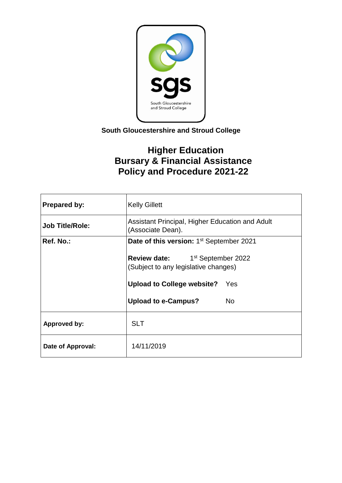

## **South Gloucestershire and Stroud College**

# **Higher Education Bursary & Financial Assistance Policy and Procedure 2021-22**

| <b>Prepared by:</b>    | <b>Kelly Gillett</b>                                                                       |     |
|------------------------|--------------------------------------------------------------------------------------------|-----|
| <b>Job Title/Role:</b> | Assistant Principal, Higher Education and Adult<br>(Associate Dean).                       |     |
| Ref. No.:              | Date of this version: 1 <sup>st</sup> September 2021                                       |     |
|                        | <b>Review date:</b> 1 <sup>st</sup> September 2022<br>(Subject to any legislative changes) |     |
|                        | <b>Upload to College website?</b> Yes                                                      |     |
|                        | <b>Upload to e-Campus?</b>                                                                 | No. |
| <b>Approved by:</b>    | <b>SLT</b>                                                                                 |     |
| Date of Approval:      | 14/11/2019                                                                                 |     |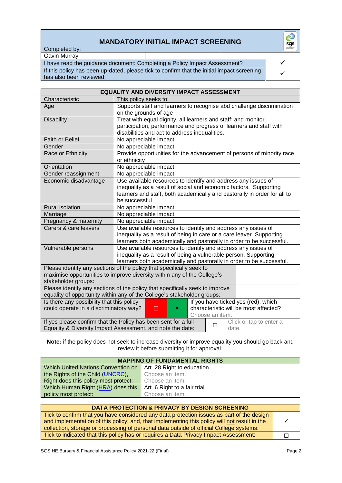## **MANDATORY INITIAL IMPACT SCREENING**

Completed by:

| Gavin Murrav                                                                                                          |  |
|-----------------------------------------------------------------------------------------------------------------------|--|
| I have read the guidance document: Completing a Policy Impact Assessment?                                             |  |
| If this policy has been up-dated, please tick to confirm that the initial impact screening<br>has also been reviewed: |  |

| <b>EQUALITY AND DIVERSITY IMPACT ASSESSMENT</b>                                                              |                                                                          |  |
|--------------------------------------------------------------------------------------------------------------|--------------------------------------------------------------------------|--|
| Characteristic                                                                                               | This policy seeks to:                                                    |  |
| Age                                                                                                          | Supports staff and learners to recognise abd challenge discrimination    |  |
|                                                                                                              | on the grounds of age                                                    |  |
| <b>Disability</b>                                                                                            | Treat with equal dignity, all learners and staff; and monitor            |  |
|                                                                                                              | participation, performance and progress of learners and staff with       |  |
|                                                                                                              | disabilities and act to address inequalities.                            |  |
| Faith or Belief                                                                                              | No appreciable impact                                                    |  |
| Gender                                                                                                       | No appreciable impact                                                    |  |
| Race or Ethnicity                                                                                            | Provide opportunities for the advancement of persons of minority race    |  |
|                                                                                                              | or ethnicity                                                             |  |
| Orientation                                                                                                  | No appreciable impact                                                    |  |
| Gender reassignment                                                                                          | No appreciable impact                                                    |  |
| Economic disadvantage                                                                                        | Use available resources to identify and address any issues of            |  |
|                                                                                                              | inequality as a result of social and economic factors. Supporting        |  |
|                                                                                                              | learners and staff, both academically and pastorally in order for all to |  |
|                                                                                                              | be successful                                                            |  |
| <b>Rural isolation</b>                                                                                       | No appreciable impact                                                    |  |
| Marriage                                                                                                     | No appreciable impact                                                    |  |
| Pregnancy & maternity                                                                                        | No appreciable impact                                                    |  |
| Carers & care leavers                                                                                        | Use available resources to identify and address any issues of            |  |
|                                                                                                              | inequality as a result of being in care or a care leaver. Supporting     |  |
|                                                                                                              | learners both academically and pastorally in order to be successful.     |  |
| Vulnerable persons                                                                                           | Use available resources to identify and address any issues of            |  |
|                                                                                                              | inequality as a result of being a vulnerable person. Supporting          |  |
|                                                                                                              | learners both academically and pastorally in order to be successful.     |  |
|                                                                                                              | Please identify any sections of the policy that specifically seek to     |  |
|                                                                                                              | maximise opportunities to improve diversity within any of the College's  |  |
| stakeholder groups:                                                                                          |                                                                          |  |
| Please identify any sections of the policy that specifically seek to improve                                 |                                                                          |  |
|                                                                                                              | equality of opportunity within any of the College's stakeholder groups:  |  |
| Is there any possibility that this policy<br>If you have ticked yes (red), which                             |                                                                          |  |
| could operate in a discriminatory way?<br>characteristic will be most affected?<br>□<br>×<br>Choose an item. |                                                                          |  |
| If yes please confirm that the Policy has been sent for a full<br>Click or tap to enter a                    |                                                                          |  |
| П<br>Equality & Diversity Impact Assessment, and note the date:<br>date.                                     |                                                                          |  |
|                                                                                                              |                                                                          |  |

**Note:** if the policy does not seek to increase diversity or improve equality you should go back and review it before submitting it for approval.

| <b>MAPPING OF FUNDAMENTAL RIGHTS</b>      |                              |
|-------------------------------------------|------------------------------|
| <b>Which United Nations Convention on</b> | Art. 28 Right to education   |
| the Rights of the Child (UNCRC),          | Choose an item.              |
| Right does this policy most protect:      | Choose an item.              |
| Which Human Right (HRA) does this         | Art. 6 Right to a fair trial |
| policy most protect:                      | Choose an item.              |

| <b>DATA PROTECTION &amp; PRIVACY BY DESIGN SCREENING</b>                                                                                                                                                                                                                             |  |
|--------------------------------------------------------------------------------------------------------------------------------------------------------------------------------------------------------------------------------------------------------------------------------------|--|
| Tick to confirm that you have considered any data protection issues as part of the design<br>and implementation of this policy; and, that implementing this policy will not result in the<br>collection, storage or processing of personal data outside of official College systems: |  |
| Tick to indicated that this policy has or requires a Data Privacy Impact Assessment:                                                                                                                                                                                                 |  |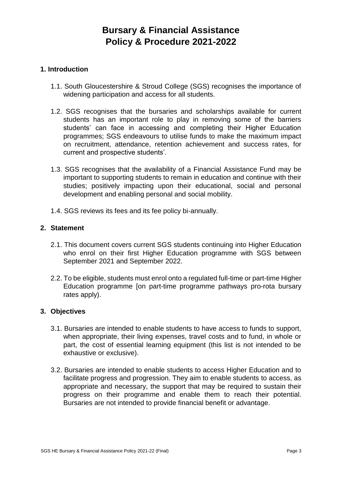# **Bursary & Financial Assistance Policy & Procedure 2021-2022**

#### **1. Introduction**

- 1.1. South Gloucestershire & Stroud College (SGS) recognises the importance of widening participation and access for all students.
- 1.2. SGS recognises that the bursaries and scholarships available for current students has an important role to play in removing some of the barriers students' can face in accessing and completing their Higher Education programmes; SGS endeavours to utilise funds to make the maximum impact on recruitment, attendance, retention achievement and success rates, for current and prospective students'.
- 1.3. SGS recognises that the availability of a Financial Assistance Fund may be important to supporting students to remain in education and continue with their studies; positively impacting upon their educational, social and personal development and enabling personal and social mobility.
- 1.4. SGS reviews its fees and its fee policy bi-annually.

### **2. Statement**

- 2.1. This document covers current SGS students continuing into Higher Education who enrol on their first Higher Education programme with SGS between September 2021 and September 2022.
- 2.2. To be eligible, students must enrol onto a regulated full-time or part-time Higher Education programme [on part-time programme pathways pro-rota bursary rates apply).

#### **3. Objectives**

- 3.1. Bursaries are intended to enable students to have access to funds to support, when appropriate, their living expenses, travel costs and to fund, in whole or part, the cost of essential learning equipment (this list is not intended to be exhaustive or exclusive).
- 3.2. Bursaries are intended to enable students to access Higher Education and to facilitate progress and progression. They aim to enable students to access, as appropriate and necessary, the support that may be required to sustain their progress on their programme and enable them to reach their potential. Bursaries are not intended to provide financial benefit or advantage.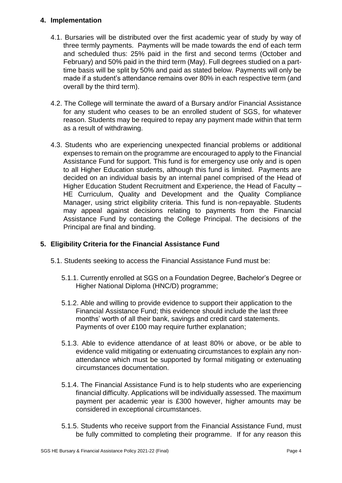### **4. Implementation**

- 4.1. Bursaries will be distributed over the first academic year of study by way of three termly payments. Payments will be made towards the end of each term and scheduled thus: 25% paid in the first and second terms (October and February) and 50% paid in the third term (May). Full degrees studied on a parttime basis will be split by 50% and paid as stated below. Payments will only be made if a student's attendance remains over 80% in each respective term (and overall by the third term).
- 4.2. The College will terminate the award of a Bursary and/or Financial Assistance for any student who ceases to be an enrolled student of SGS, for whatever reason. Students may be required to repay any payment made within that term as a result of withdrawing.
- 4.3. Students who are experiencing unexpected financial problems or additional expenses to remain on the programme are encouraged to apply to the Financial Assistance Fund for support. This fund is for emergency use only and is open to all Higher Education students, although this fund is limited. Payments are decided on an individual basis by an internal panel comprised of the Head of Higher Education Student Recruitment and Experience, the Head of Faculty – HE Curriculum, Quality and Development and the Quality Compliance Manager, using strict eligibility criteria. This fund is non-repayable. Students may appeal against decisions relating to payments from the Financial Assistance Fund by contacting the College Principal. The decisions of the Principal are final and binding.

## **5. Eligibility Criteria for the Financial Assistance Fund**

- 5.1. Students seeking to access the Financial Assistance Fund must be:
	- 5.1.1. Currently enrolled at SGS on a Foundation Degree, Bachelor's Degree or Higher National Diploma (HNC/D) programme;
	- 5.1.2. Able and willing to provide evidence to support their application to the Financial Assistance Fund; this evidence should include the last three months' worth of all their bank, savings and credit card statements. Payments of over £100 may require further explanation;
	- 5.1.3. Able to evidence attendance of at least 80% or above, or be able to evidence valid mitigating or extenuating circumstances to explain any nonattendance which must be supported by formal mitigating or extenuating circumstances documentation.
	- 5.1.4. The Financial Assistance Fund is to help students who are experiencing financial difficulty. Applications will be individually assessed. The maximum payment per academic year is £300 however, higher amounts may be considered in exceptional circumstances.
	- 5.1.5. Students who receive support from the Financial Assistance Fund, must be fully committed to completing their programme. If for any reason this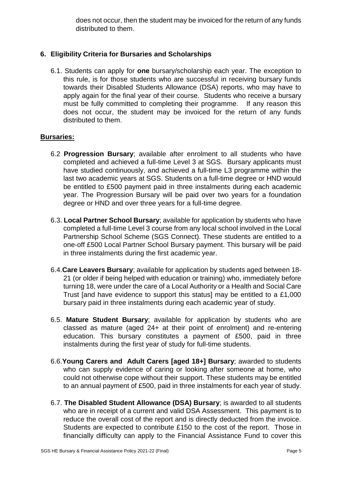does not occur, then the student may be invoiced for the return of any funds distributed to them.

## **6. Eligibility Criteria for Bursaries and Scholarships**

6.1. Students can apply for **one** bursary/scholarship each year. The exception to this rule, is for those students who are successful in receiving bursary funds towards their Disabled Students Allowance (DSA) reports, who may have to apply again for the final year of their course. Students who receive a bursary must be fully committed to completing their programme. If any reason this does not occur, the student may be invoiced for the return of any funds distributed to them.

#### **Bursaries:**

- 6.2 **Progression Bursary**; available after enrolment to all students who have completed and achieved a full-time Level 3 at SGS. Bursary applicants must have studied continuously, and achieved a full-time L3 programme within the last two academic years at SGS. Students on a full-time degree or HND would be entitled to £500 payment paid in three instalments during each academic year. The Progression Bursary will be paid over two years for a foundation degree or HND and over three years for a full-time degree.
- 6.3. **Local Partner School Bursary**; available for application by students who have completed a full-time Level 3 course from any local school involved in the Local Partnership School Scheme (SGS Connect). These students are entitled to a one-off £500 Local Partner School Bursary payment. This bursary will be paid in three instalments during the first academic year.
- 6.4.**Care Leavers Bursary**; available for application by students aged between 18- 21 (or older if being helped with education or training) who, immediately before turning 18, were under the care of a Local Authority or a Health and Social Care Trust [and have evidence to support this status] may be entitled to a £1,000 bursary paid in three instalments during each academic year of study.
- 6.5. **Mature Student Bursary**; available for application by students who are classed as mature (aged 24+ at their point of enrolment) and re-entering education. This bursary constitutes a payment of £500, paid in three instalments during the first year of study for full-time students.
- 6.6.**Young Carers and Adult Carers [aged 18+] Bursary**; awarded to students who can supply evidence of caring or looking after someone at home, who could not otherwise cope without their support. These students may be entitled to an annual payment of £500, paid in three instalments for each year of study.
- 6.7. **The Disabled Student Allowance (DSA) Bursary**; is awarded to all students who are in receipt of a current and valid DSA Assessment. This payment is to reduce the overall cost of the report and is directly deducted from the invoice. Students are expected to contribute £150 to the cost of the report. Those in financially difficulty can apply to the Financial Assistance Fund to cover this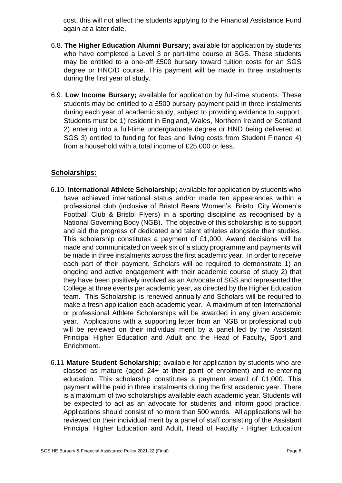cost, this will not affect the students applying to the Financial Assistance Fund again at a later date.

- 6.8. **The Higher Education Alumni Bursary;** available for application by students who have completed a Level 3 or part-time course at SGS. These students may be entitled to a one-off £500 bursary toward tuition costs for an SGS degree or HNC/D course. This payment will be made in three instalments during the first year of study.
- 6.9. **Low Income Bursary;** available for application by full-time students. These students may be entitled to a £500 bursary payment paid in three instalments during each year of academic study, subject to providing evidence to support. Students must be 1) resident in England, Wales, Northern Ireland or Scotland 2) entering into a full-time undergraduate degree or HND being delivered at SGS 3) entitled to funding for fees and living costs from Student Finance 4) from a household with a total income of £25,000 or less.

## **Scholarships:**

- 6.10. **International Athlete Scholarship;** available for application by students who have achieved international status and/or made ten appearances within a professional club (inclusive of Bristol Bears Women's, Bristol City Women's Football Club & Bristol Flyers) in a sporting discipline as recognised by a National Governing Body (NGB). The objective of this scholarship is to support and aid the progress of dedicated and talent athletes alongside their studies. This scholarship constitutes a payment of £1,000. Award decisions will be made and communicated on week six of a study programme and payments will be made in three instalments across the first academic year. In order to receive each part of their payment, Scholars will be required to demonstrate 1) an ongoing and active engagement with their academic course of study 2) that they have been positively involved as an Advocate of SGS and represented the College at three events per academic year, as directed by the Higher Education team. This Scholarship is renewed annually and Scholars will be required to make a fresh application each academic year. A maximum of ten International or professional Athlete Scholarships will be awarded in any given academic year. Applications with a supporting letter from an NGB or professional club will be reviewed on their individual merit by a panel led by the Assistant Principal Higher Education and Adult and the Head of Faculty, Sport and Enrichment.
- 6.11 **Mature Student Scholarship;** available for application by students who are classed as mature (aged 24+ at their point of enrolment) and re-entering education. This scholarship constitutes a payment award of £1,000. This payment will be paid in three instalments during the first academic year. There is a maximum of two scholarships available each academic year. Students will be expected to act as an advocate for students and inform good practice. Applications should consist of no more than 500 words. All applications will be reviewed on their individual merit by a panel of staff consisting of the Assistant Principal Higher Education and Adult, Head of Faculty - Higher Education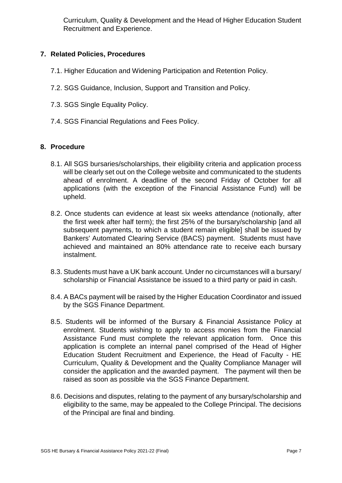Curriculum, Quality & Development and the Head of Higher Education Student Recruitment and Experience.

## **7. Related Policies, Procedures**

- 7.1. Higher Education and Widening Participation and Retention Policy.
- 7.2. SGS Guidance, Inclusion, Support and Transition and Policy.
- 7.3. SGS Single Equality Policy.
- 7.4. SGS Financial Regulations and Fees Policy.

## **8. Procedure**

- 8.1. All SGS bursaries/scholarships, their eligibility criteria and application process will be clearly set out on the College website and communicated to the students ahead of enrolment. A deadline of the second Friday of October for all applications (with the exception of the Financial Assistance Fund) will be upheld.
- 8.2. Once students can evidence at least six weeks attendance (notionally, after the first week after half term); the first 25% of the bursary/scholarship [and all subsequent payments, to which a student remain eligible] shall be issued by Bankers' Automated Clearing Service (BACS) payment. Students must have achieved and maintained an 80% attendance rate to receive each bursary instalment.
- 8.3. Students must have a UK bank account. Under no circumstances will a bursary/ scholarship or Financial Assistance be issued to a third party or paid in cash.
- 8.4. A BACs payment will be raised by the Higher Education Coordinator and issued by the SGS Finance Department.
- 8.5. Students will be informed of the Bursary & Financial Assistance Policy at enrolment. Students wishing to apply to access monies from the Financial Assistance Fund must complete the relevant application form. Once this application is complete an internal panel comprised of the Head of Higher Education Student Recruitment and Experience, the Head of Faculty - HE Curriculum, Quality & Development and the Quality Compliance Manager will consider the application and the awarded payment. The payment will then be raised as soon as possible via the SGS Finance Department.
- 8.6. Decisions and disputes, relating to the payment of any bursary/scholarship and eligibility to the same, may be appealed to the College Principal. The decisions of the Principal are final and binding.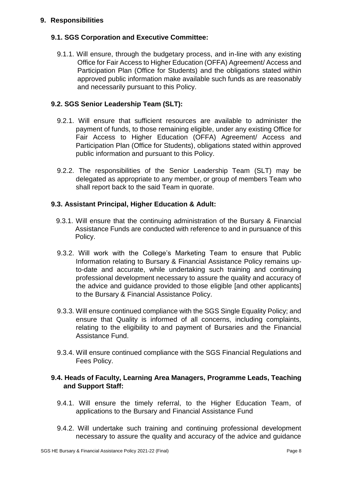### **9. Responsibilities**

## **9.1. SGS Corporation and Executive Committee:**

9.1.1. Will ensure, through the budgetary process, and in-line with any existing Office for Fair Access to Higher Education (OFFA) Agreement/ Access and Participation Plan (Office for Students) and the obligations stated within approved public information make available such funds as are reasonably and necessarily pursuant to this Policy.

## **9.2. SGS Senior Leadership Team (SLT):**

- 9.2.1. Will ensure that sufficient resources are available to administer the payment of funds, to those remaining eligible, under any existing Office for Fair Access to Higher Education (OFFA) Agreement/ Access and Participation Plan (Office for Students), obligations stated within approved public information and pursuant to this Policy.
- 9.2.2. The responsibilities of the Senior Leadership Team (SLT) may be delegated as appropriate to any member, or group of members Team who shall report back to the said Team in quorate.

#### **9.3. Assistant Principal, Higher Education & Adult:**

- 9.3.1. Will ensure that the continuing administration of the Bursary & Financial Assistance Funds are conducted with reference to and in pursuance of this Policy.
- 9.3.2. Will work with the College's Marketing Team to ensure that Public Information relating to Bursary & Financial Assistance Policy remains upto-date and accurate, while undertaking such training and continuing professional development necessary to assure the quality and accuracy of the advice and guidance provided to those eligible [and other applicants] to the Bursary & Financial Assistance Policy.
- 9.3.3. Will ensure continued compliance with the SGS Single Equality Policy; and ensure that Quality is informed of all concerns, including complaints, relating to the eligibility to and payment of Bursaries and the Financial Assistance Fund.
- 9.3.4. Will ensure continued compliance with the SGS Financial Regulations and Fees Policy.

#### **9.4. Heads of Faculty, Learning Area Managers, Programme Leads, Teaching and Support Staff:**

- 9.4.1. Will ensure the timely referral, to the Higher Education Team, of applications to the Bursary and Financial Assistance Fund
- 9.4.2. Will undertake such training and continuing professional development necessary to assure the quality and accuracy of the advice and guidance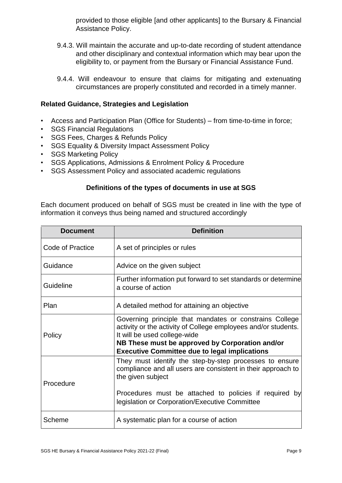provided to those eligible [and other applicants] to the Bursary & Financial Assistance Policy.

- 9.4.3. Will maintain the accurate and up-to-date recording of student attendance and other disciplinary and contextual information which may bear upon the eligibility to, or payment from the Bursary or Financial Assistance Fund.
- 9.4.4. Will endeavour to ensure that claims for mitigating and extenuating circumstances are properly constituted and recorded in a timely manner.

### **Related Guidance, Strategies and Legislation**

- Access and Participation Plan (Office for Students) from time-to-time in force;
- SGS Financial Regulations
- SGS Fees, Charges & Refunds Policy
- SGS Equality & Diversity Impact Assessment Policy
- SGS Marketing Policy
- SGS Applications, Admissions & Enrolment Policy & Procedure
- SGS Assessment Policy and associated academic regulations

## **Definitions of the types of documents in use at SGS**

Each document produced on behalf of SGS must be created in line with the type of information it conveys thus being named and structured accordingly

| <b>Document</b>  | <b>Definition</b>                                                                                                                                                                                                                                                    |
|------------------|----------------------------------------------------------------------------------------------------------------------------------------------------------------------------------------------------------------------------------------------------------------------|
| Code of Practice | A set of principles or rules                                                                                                                                                                                                                                         |
| Guidance         | Advice on the given subject                                                                                                                                                                                                                                          |
| Guideline        | Further information put forward to set standards or determine<br>a course of action                                                                                                                                                                                  |
| Plan             | A detailed method for attaining an objective                                                                                                                                                                                                                         |
| Policy           | Governing principle that mandates or constrains College<br>activity or the activity of College employees and/or students.<br>It will be used college-wide<br>NB These must be approved by Corporation and/or<br><b>Executive Committee due to legal implications</b> |
| Procedure        | They must identify the step-by-step processes to ensure<br>compliance and all users are consistent in their approach to<br>the given subject                                                                                                                         |
|                  | Procedures must be attached to policies if required by<br>legislation or Corporation/Executive Committee                                                                                                                                                             |
| Scheme           | A systematic plan for a course of action                                                                                                                                                                                                                             |